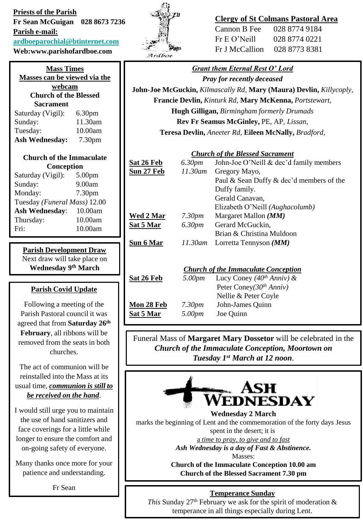**Priests of the Parish Fr Sean McGuigan 028 8673 7236 Parish e-mail: [ardboeparochial@btinternet.com](mailto:ardboeparochial@btinternet.com) Web:www.parishofardboe.com**

| <b>Mass Times</b><br>Masses can be viewed via the |                    |  |
|---------------------------------------------------|--------------------|--|
| webcam                                            |                    |  |
| <b>Church of the Blessed</b>                      |                    |  |
| <b>Sacrament</b>                                  |                    |  |
| Saturday (Vigil):                                 | 6.30 <sub>pm</sub> |  |
| Sunday:                                           | 11.30am            |  |
| Tuesday:                                          | 10.00am            |  |
| <b>Ash Wednesday:</b>                             | 7.30 <sub>pm</sub> |  |
| <b>Church of the Immaculate</b>                   |                    |  |

| Unurch of the Immaculate     |                    |  |
|------------------------------|--------------------|--|
| Conception                   |                    |  |
| Saturday (Vigil):            | 5.00 <sub>pm</sub> |  |
| Sunday:                      | 9.00am             |  |
| Monday:                      | 7.30pm             |  |
| Tuesday (Funeral Mass) 12.00 |                    |  |
| <b>Ash Wednesday:</b>        | 10.00am            |  |
| Thursday:                    | 10.00am            |  |

Fri: 10.00am

**Parish Development Draw** Next draw will take place on **Wednesday 9th March** 

## **Parish Covid Update**

Following a meeting of the Parish Pastoral council it was agreed that from **Saturday 26th February**, all ribbons will be removed from the seats in both churches.

The act of communion will be reinstalled into the Mass at its usual time, *communion is still to be received on the hand*.

I would still urge you to maintain the use of hand sanitizers and face coverings for a little while longer to ensure the comfort and on-going safety of everyone.

Many thanks once more for your patience and understanding.

Fr Sean



# **Clergy of St Colmans Pastoral Area**

| Cannon B Fee   | 028 8774 9184 |
|----------------|---------------|
| Fr E O' Neil1  | 028 8774 0221 |
| Fr J McCallion | 028 8773 8381 |

# *Grant them Eternal Rest O' Lord Pray for recently deceased*

**John-Joe McGuckin,** *Kilmascally Rd,* **Mary (Maura) Devlin,** *Killycoply,* **Francie Devlin,** *Kinturk Rd,* **Mary McKenna,** *Portstewart,* **Hugh Gilligan,** *Birmingham formerly Drumads* **Rev Fr Seamus McGinley,** PE, AP*, Lissan,*  **Teresa Devlin,** *Aneeter Rd,* **Eileen McNally,** *Bradford,* 

## *Church of the Blessed Sacrament*

| Sat 26 Feb                                 | 6.30pm             | John-Joe O'Neill & dec'd family members  |
|--------------------------------------------|--------------------|------------------------------------------|
| Sun 27 Feb                                 | $11.30$ am         | Gregory Mayo,                            |
|                                            |                    | Paul & Sean Duffy & dec'd members of the |
|                                            |                    | Duffy family.                            |
|                                            |                    | Gerald Canavan,                          |
|                                            |                    | Elizabeth O'Neill (Aughacolumb)          |
| Wed 2 Mar                                  | 7.30 <sub>pm</sub> | Margaret Mallon $(MM)$                   |
| Sat 5 Mar                                  | 6.30pm             | Gerard McGuckin,                         |
|                                            |                    | Brian & Christina Muldoon                |
| Su <u>n 6 Mar</u>                          | 11.30am            | Lorretta Tennyson $(MM)$                 |
|                                            |                    |                                          |
|                                            |                    |                                          |
| <b>Church of the Immaculate Conception</b> |                    |                                          |
| Sat 26 Feb                                 | 5.00pm             | Lucy Coney (40 <sup>th</sup> Anniv) &    |
|                                            |                    | Peter Coney( $30th Anniv$ )              |
|                                            |                    | Nellie & Peter Coyle                     |
| <b>Mon 28 Feb</b>                          | 7.30 <sub>pm</sub> | John-James Quinn                         |
| <b>Sat 5 Mar</b>                           | 5.00pm             | Joe Quinn                                |
|                                            |                    |                                          |

Funeral Mass of **Margaret Mary Dossetor** will be celebrated in the *Church of the Immaculate Conception, Moortown on Tuesday 1st March at 12 noon*.



marks the beginning of Lent and the commemoration of the forty days Jesus spent in the desert; it is a *time to pray, to give and to fast Ash Wednesday is a day of Fast & Abstinence.*

Masses:

**Church of the Immaculate Conception 10.00 am Church of the Blessed Sacrament 7.30 pm**

# **Temperance Sunday**

*This* Sunday  $27<sup>th</sup>$  February we ask for the spirit of moderation  $\&$ temperance in all things especially during Lent.